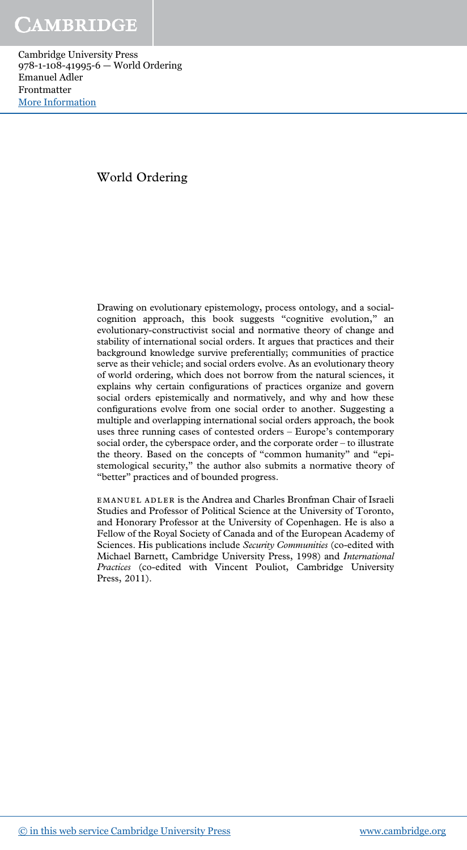### World Ordering

Drawing on evolutionary epistemology, process ontology, and a socialcognition approach, this book suggests "cognitive evolution," an evolutionary-constructivist social and normative theory of change and stability of international social orders. It argues that practices and their background knowledge survive preferentially; communities of practice serve as their vehicle; and social orders evolve. As an evolutionary theory of world ordering, which does not borrow from the natural sciences, it explains why certain configurations of practices organize and govern social orders epistemically and normatively, and why and how these configurations evolve from one social order to another. Suggesting a multiple and overlapping international social orders approach, the book uses three running cases of contested orders – Europe's contemporary social order, the cyberspace order, and the corporate order – to illustrate the theory. Based on the concepts of "common humanity" and "epistemological security," the author also submits a normative theory of "better" practices and of bounded progress.

emanuel adler is the Andrea and Charles Bronfman Chair of Israeli Studies and Professor of Political Science at the University of Toronto, and Honorary Professor at the University of Copenhagen. He is also a Fellow of the Royal Society of Canada and of the European Academy of Sciences. His publications include *Security Communities* (co-edited with Michael Barnett, Cambridge University Press, 1998) and *International Practices* (co-edited with Vincent Pouliot, Cambridge University Press, 2011).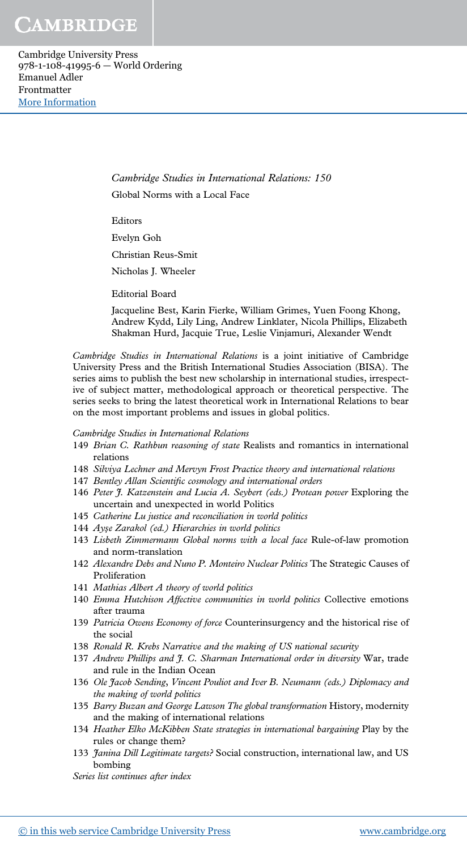> *Cambridge Studies in International Relations: 150* Global Norms with a Local Face

Editors

Evelyn Goh

Christian Reus-Smit

Nicholas J. Wheeler

Editorial Board

Jacqueline Best, Karin Fierke, William Grimes, Yuen Foong Khong, Andrew Kydd, Lily Ling, Andrew Linklater, Nicola Phillips, Elizabeth Shakman Hurd, Jacquie True, Leslie Vinjamuri, Alexander Wendt

*Cambridge Studies in International Relations* is a joint initiative of Cambridge University Press and the British International Studies Association (BISA). The series aims to publish the best new scholarship in international studies, irrespective of subject matter, methodological approach or theoretical perspective. The series seeks to bring the latest theoretical work in International Relations to bear on the most important problems and issues in global politics.

*Cambridge Studies in International Relations*

- 149 *Brian C. Rathbun reasoning of state* Realists and romantics in international relations
- 148 *Silviya Lechner and Mervyn Frost Practice theory and international relations*
- 147 *Bentley Allan Scientific cosmology and international orders*
- 146 *Peter J. Katzenstein and Lucia A. Seybert (eds.) Protean power* Exploring the uncertain and unexpected in world Politics
- 145 *Catherine Lu justice and reconciliation in world politics*
- 144 *Ayşe Zarakol (ed.) Hierarchies in world politics*
- 143 *Lisbeth Zimmermann Global norms with a local face* Rule-of-law promotion and norm-translation
- 142 *Alexandre Debs and Nuno P. Monteiro Nuclear Politics* The Strategic Causes of Proliferation
- 141 *Mathias Albert A theory of world politics*
- 140 *Emma Hutchison Affective communities in world politics* Collective emotions after trauma
- 139 *Patricia Owens Economy of force* Counterinsurgency and the historical rise of the social
- 138 *Ronald R. Krebs Narrative and the making of US national security*
- 137 *Andrew Phillips and J. C. Sharman International order in diversity* War, trade and rule in the Indian Ocean
- 136 Ole Jacob Sending, Vincent Pouliot and Iver B. Neumann (eds.) Diplomacy and *the making of world politics*
- 135 *Barry Buzan and George Lawson The global transformation* History, modernity and the making of international relations
- 134 *Heather Elko McKibben State strategies in international bargaining* Play by the rules or change them?
- 133 *Janina Dill Legitimate targets?* Social construction, international law, and US bombing

*Series list continues after index*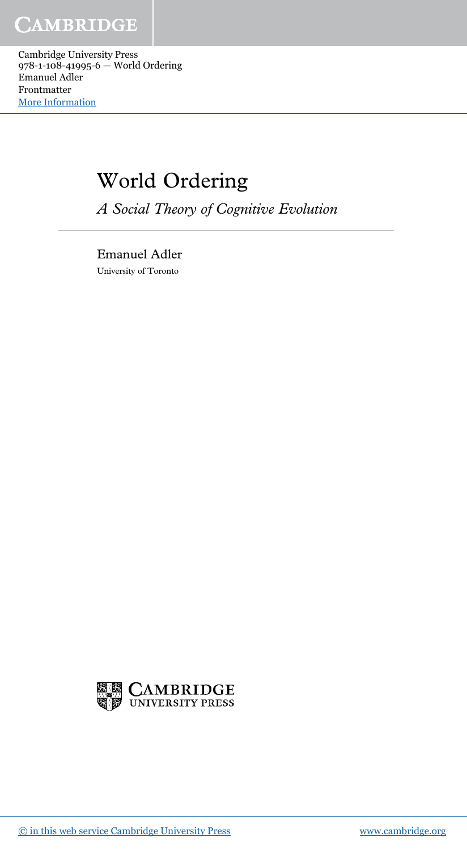# World Ordering

*A Social Theory of Cognitive Evolution*

Emanuel Adler University of Toronto

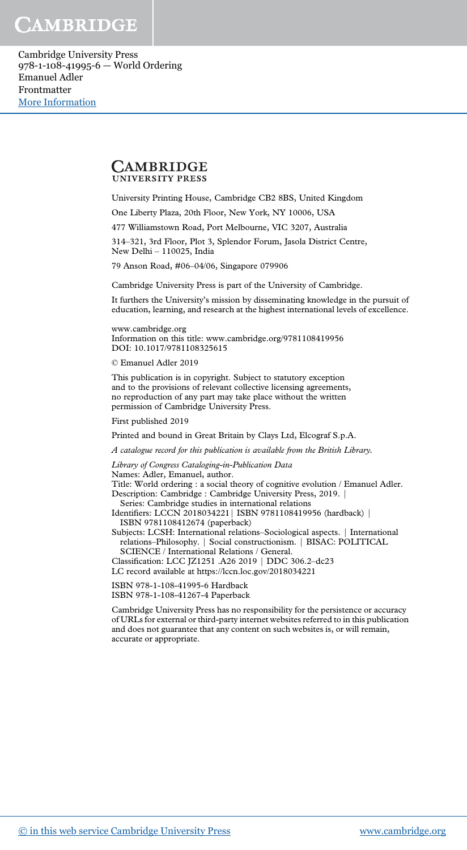## CAMBRIDGE

Cambridge University Press 978-1-108-41995-6 — World Ordering Emanuel Adler Frontmatter [More Information](www.cambridge.org/9781108419956)

### CAMBRIDGE **UNIVERSITY PRESS**

University Printing House, Cambridge CB2 8BS, United Kingdom

One Liberty Plaza, 20th Floor, New York, NY 10006, USA

477 Williamstown Road, Port Melbourne, VIC 3207, Australia

314–321, 3rd Floor, Plot 3, Splendor Forum, Jasola District Centre, New Delhi – 110025, India

79 Anson Road, #06–04/06, Singapore 079906

Cambridge University Press is part of the University of Cambridge.

It furthers the University's mission by disseminating knowledge in the pursuit of education, learning, and research at the highest international levels of excellence.

www.cambridge.org Information on this title: www.cambridge.org/9781108419956 DOI: 10.1017/9781108325615

© Emanuel Adler 2019

This publication is in copyright. Subject to statutory exception and to the provisions of relevant collective licensing agreements, no reproduction of any part may take place without the written permission of Cambridge University Press.

First published 2019

Printed and bound in Great Britain by Clays Ltd, Elcograf S.p.A.

A catalogue record for this publication is available from the British Library.

*Library of Congress Cataloging-in-Publication Data*

Names: Adler, Emanuel, author.

Title: World ordering : a social theory of cognitive evolution / Emanuel Adler. Description: Cambridge : Cambridge University Press, 2019. |

Series: Cambridge studies in international relations Identifiers: LCCN 2018034221| ISBN 9781108419956 (hardback) |

ISBN 9781108412674 (paperback)

Subjects: LCSH: International relations–Sociological aspects. | International relations–Philosophy. | Social constructionism. | BISAC: POLITICAL SCIENCE / International Relations / General.

Classification: LCC JZ1251 .A26 2019 | DDC 306.2–dc23

LC record available at https://lccn.loc.gov/2018034221

ISBN 978-1-108-41995-6 Hardback

ISBN 978-1-108-41267-4 Paperback

Cambridge University Press has no responsibility for the persistence or accuracy of URLs for external or third-party internet websites referred to in this publication and does not guarantee that any content on such websites is, or will remain, accurate or appropriate.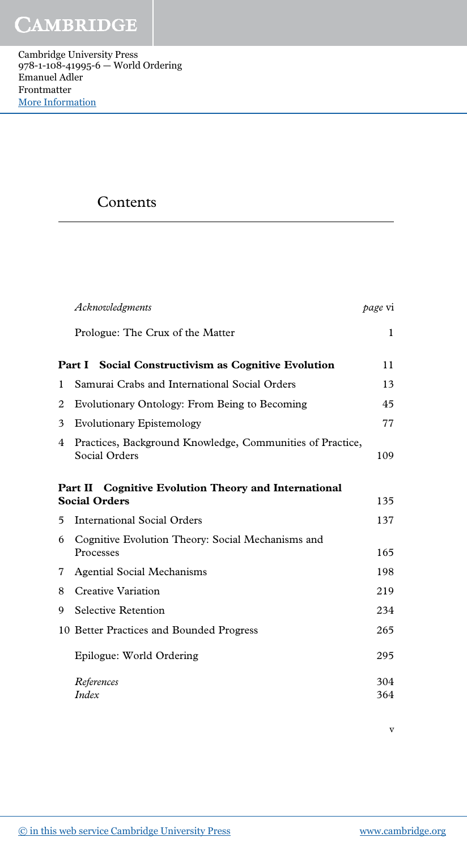### Contents

|                                                                              | Acknowledgments                                                            | <i>page</i> vi |
|------------------------------------------------------------------------------|----------------------------------------------------------------------------|----------------|
|                                                                              | Prologue: The Crux of the Matter                                           | 1              |
|                                                                              | Part I Social Constructivism as Cognitive Evolution                        | 11             |
| 1                                                                            | Samurai Crabs and International Social Orders                              | 13             |
| 2                                                                            | Evolutionary Ontology: From Being to Becoming                              | 45             |
| 3                                                                            | <b>Evolutionary Epistemology</b>                                           | 77             |
| 4                                                                            | Practices, Background Knowledge, Communities of Practice,<br>Social Orders | 109            |
| Part II Cognitive Evolution Theory and International<br><b>Social Orders</b> |                                                                            | 135            |
| 5                                                                            | International Social Orders                                                | 137            |
| 6                                                                            | Cognitive Evolution Theory: Social Mechanisms and<br>Processes             | 165            |
| 7                                                                            | <b>Agential Social Mechanisms</b>                                          | 198            |
| 8                                                                            | Creative Variation                                                         | 219            |
| 9                                                                            | <b>Selective Retention</b>                                                 | 234            |
|                                                                              | 10 Better Practices and Bounded Progress                                   | 265            |
|                                                                              | Epilogue: World Ordering                                                   | 295            |
|                                                                              | References<br>Index                                                        | 304<br>364     |

v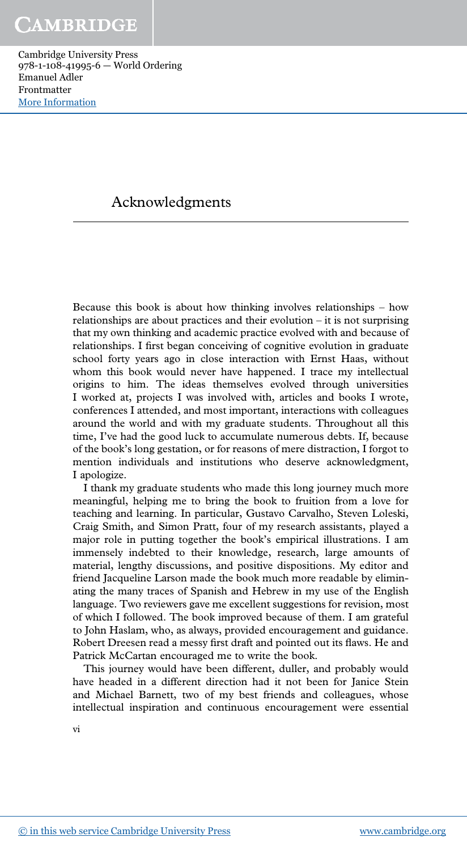### Acknowledgments

Because this book is about how thinking involves relationships – how relationships are about practices and their evolution – it is not surprising that my own thinking and academic practice evolved with and because of relationships. I first began conceiving of cognitive evolution in graduate school forty years ago in close interaction with Ernst Haas, without whom this book would never have happened. I trace my intellectual origins to him. The ideas themselves evolved through universities I worked at, projects I was involved with, articles and books I wrote, conferences I attended, and most important, interactions with colleagues around the world and with my graduate students. Throughout all this time, I've had the good luck to accumulate numerous debts. If, because of the book's long gestation, or for reasons of mere distraction, I forgot to mention individuals and institutions who deserve acknowledgment, I apologize.

I thank my graduate students who made this long journey much more meaningful, helping me to bring the book to fruition from a love for teaching and learning. In particular, Gustavo Carvalho, Steven Loleski, Craig Smith, and Simon Pratt, four of my research assistants, played a major role in putting together the book's empirical illustrations. I am immensely indebted to their knowledge, research, large amounts of material, lengthy discussions, and positive dispositions. My editor and friend Jacqueline Larson made the book much more readable by eliminating the many traces of Spanish and Hebrew in my use of the English language. Two reviewers gave me excellent suggestions for revision, most of which I followed. The book improved because of them. I am grateful to John Haslam, who, as always, provided encouragement and guidance. Robert Dreesen read a messy first draft and pointed out its flaws. He and Patrick McCartan encouraged me to write the book.

This journey would have been different, duller, and probably would have headed in a different direction had it not been for Janice Stein and Michael Barnett, two of my best friends and colleagues, whose intellectual inspiration and continuous encouragement were essential

vi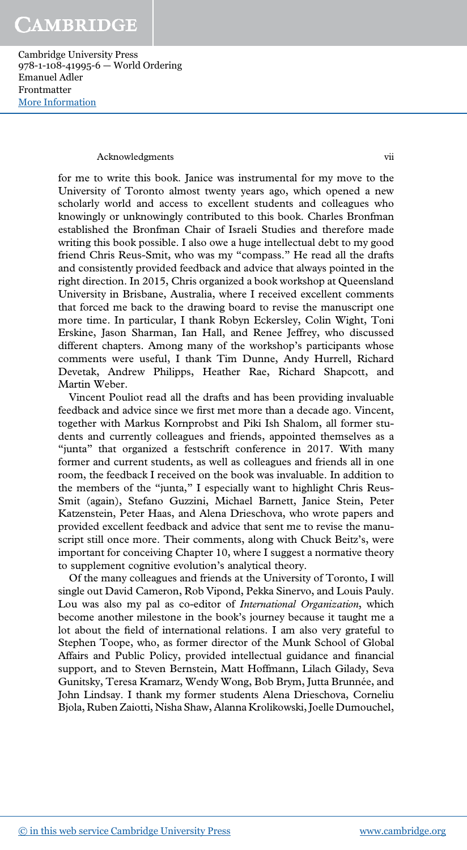## CAMBRIDGE

Cambridge University Press 978-1-108-41995-6 — World Ordering Emanuel Adler Frontmatter [More Information](www.cambridge.org/9781108419956)

### Acknowledgments vii

for me to write this book. Janice was instrumental for my move to the University of Toronto almost twenty years ago, which opened a new scholarly world and access to excellent students and colleagues who knowingly or unknowingly contributed to this book. Charles Bronfman established the Bronfman Chair of Israeli Studies and therefore made writing this book possible. I also owe a huge intellectual debt to my good friend Chris Reus-Smit, who was my "compass." He read all the drafts and consistently provided feedback and advice that always pointed in the right direction. In 2015, Chris organized a book workshop at Queensland University in Brisbane, Australia, where I received excellent comments that forced me back to the drawing board to revise the manuscript one more time. In particular, I thank Robyn Eckersley, Colin Wight, Toni Erskine, Jason Sharman, Ian Hall, and Renee Jeffrey, who discussed different chapters. Among many of the workshop's participants whose comments were useful, I thank Tim Dunne, Andy Hurrell, Richard Devetak, Andrew Philipps, Heather Rae, Richard Shapcott, and Martin Weber.

Vincent Pouliot read all the drafts and has been providing invaluable feedback and advice since we first met more than a decade ago. Vincent, together with Markus Kornprobst and Piki Ish Shalom, all former students and currently colleagues and friends, appointed themselves as a "junta" that organized a festschrift conference in 2017. With many former and current students, as well as colleagues and friends all in one room, the feedback I received on the book was invaluable. In addition to the members of the "junta," I especially want to highlight Chris Reus-Smit (again), Stefano Guzzini, Michael Barnett, Janice Stein, Peter Katzenstein, Peter Haas, and Alena Drieschova, who wrote papers and provided excellent feedback and advice that sent me to revise the manuscript still once more. Their comments, along with Chuck Beitz's, were important for conceiving Chapter 10, where I suggest a normative theory to supplement cognitive evolution's analytical theory.

Of the many colleagues and friends at the University of Toronto, I will single out David Cameron, Rob Vipond, Pekka Sinervo, and Louis Pauly. Lou was also my pal as co-editor of *International Organization*, which become another milestone in the book's journey because it taught me a lot about the field of international relations. I am also very grateful to Stephen Toope, who, as former director of the Munk School of Global Affairs and Public Policy, provided intellectual guidance and financial support, and to Steven Bernstein, Matt Hoffmann, Lilach Gilady, Seva Gunitsky, Teresa Kramarz, Wendy Wong, Bob Brym, Jutta Brunnée, and John Lindsay. I thank my former students Alena Drieschova, Corneliu Bjola, Ruben Zaiotti, Nisha Shaw, Alanna Krolikowski, Joelle Dumouchel,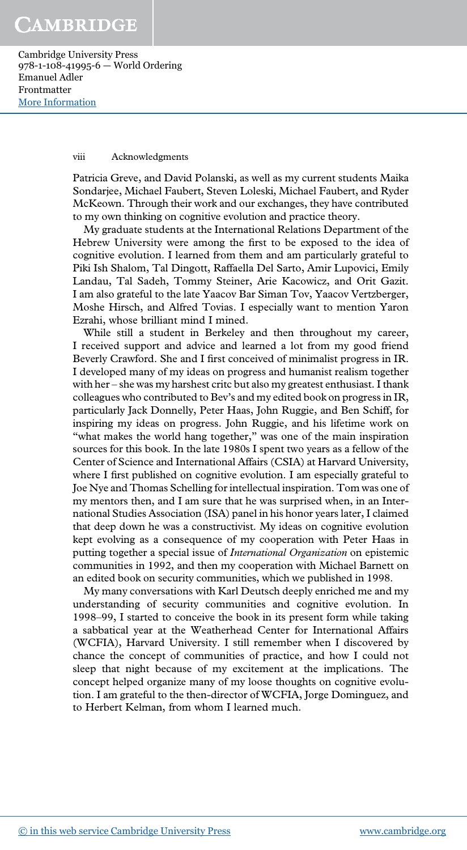#### viii Acknowledgments

Patricia Greve, and David Polanski, as well as my current students Maika Sondarjee, Michael Faubert, Steven Loleski, Michael Faubert, and Ryder McKeown. Through their work and our exchanges, they have contributed to my own thinking on cognitive evolution and practice theory.

My graduate students at the International Relations Department of the Hebrew University were among the first to be exposed to the idea of cognitive evolution. I learned from them and am particularly grateful to Piki Ish Shalom, Tal Dingott, Raffaella Del Sarto, Amir Lupovici, Emily Landau, Tal Sadeh, Tommy Steiner, Arie Kacowicz, and Orit Gazit. I am also grateful to the late Yaacov Bar Siman Tov, Yaacov Vertzberger, Moshe Hirsch, and Alfred Tovias. I especially want to mention Yaron Ezrahi, whose brilliant mind I mined.

While still a student in Berkeley and then throughout my career, I received support and advice and learned a lot from my good friend Beverly Crawford. She and I first conceived of minimalist progress in IR. I developed many of my ideas on progress and humanist realism together with her – she was my harshest critc but also my greatest enthusiast. I thank colleagues who contributed to Bev's and my edited book on progress in IR, particularly Jack Donnelly, Peter Haas, John Ruggie, and Ben Schiff, for inspiring my ideas on progress. John Ruggie, and his lifetime work on "what makes the world hang together," was one of the main inspiration sources for this book. In the late 1980s I spent two years as a fellow of the Center of Science and International Affairs (CSIA) at Harvard University, where I first published on cognitive evolution. I am especially grateful to Joe Nye and Thomas Schelling for intellectual inspiration. Tom was one of my mentors then, and I am sure that he was surprised when, in an International Studies Association (ISA) panel in his honor years later, I claimed that deep down he was a constructivist. My ideas on cognitive evolution kept evolving as a consequence of my cooperation with Peter Haas in putting together a special issue of *International Organization* on epistemic communities in 1992, and then my cooperation with Michael Barnett on an edited book on security communities, which we published in 1998.

My many conversations with Karl Deutsch deeply enriched me and my understanding of security communities and cognitive evolution. In 1998–99, I started to conceive the book in its present form while taking a sabbatical year at the Weatherhead Center for International Affairs (WCFIA), Harvard University. I still remember when I discovered by chance the concept of communities of practice, and how I could not sleep that night because of my excitement at the implications. The concept helped organize many of my loose thoughts on cognitive evolution. I am grateful to the then-director of WCFIA, Jorge Dominguez, and to Herbert Kelman, from whom I learned much.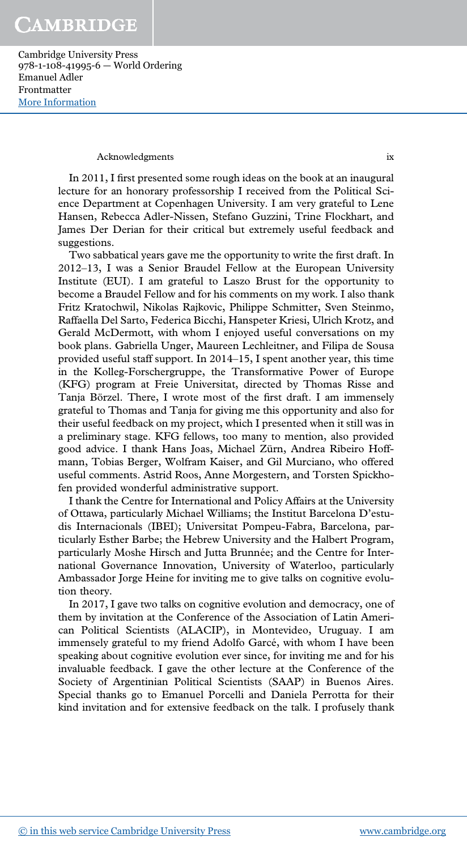#### Acknowledgments ix

In 2011, I first presented some rough ideas on the book at an inaugural lecture for an honorary professorship I received from the Political Science Department at Copenhagen University. I am very grateful to Lene Hansen, Rebecca Adler-Nissen, Stefano Guzzini, Trine Flockhart, and James Der Derian for their critical but extremely useful feedback and suggestions.

Two sabbatical years gave me the opportunity to write the first draft. In 2012–13, I was a Senior Braudel Fellow at the European University Institute (EUI). I am grateful to Laszo Brust for the opportunity to become a Braudel Fellow and for his comments on my work. I also thank Fritz Kratochwil, Nikolas Rajkovic, Philippe Schmitter, Sven Steinmo, Raffaella Del Sarto, Federica Bicchi, Hanspeter Kriesi, Ulrich Krotz, and Gerald McDermott, with whom I enjoyed useful conversations on my book plans. Gabriella Unger, Maureen Lechleitner, and Filipa de Sousa provided useful staff support. In 2014–15, I spent another year, this time in the Kolleg-Forschergruppe, the Transformative Power of Europe (KFG) program at Freie Universitat, directed by Thomas Risse and Tanja Börzel. There, I wrote most of the first draft. I am immensely grateful to Thomas and Tanja for giving me this opportunity and also for their useful feedback on my project, which I presented when it still was in a preliminary stage. KFG fellows, too many to mention, also provided good advice. I thank Hans Joas, Michael Zürn, Andrea Ribeiro Hoffmann, Tobias Berger, Wolfram Kaiser, and Gil Murciano, who offered useful comments. Astrid Roos, Anne Morgestern, and Torsten Spickhofen provided wonderful administrative support.

I thank the Centre for International and Policy Affairs at the University of Ottawa, particularly Michael Williams; the Institut Barcelona D'estudis Internacionals (IBEI); Universitat Pompeu-Fabra, Barcelona, particularly Esther Barbe; the Hebrew University and the Halbert Program, particularly Moshe Hirsch and Jutta Brunnée; and the Centre for International Governance Innovation, University of Waterloo, particularly Ambassador Jorge Heine for inviting me to give talks on cognitive evolution theory.

In 2017, I gave two talks on cognitive evolution and democracy, one of them by invitation at the Conference of the Association of Latin American Political Scientists (ALACIP), in Montevideo, Uruguay. I am immensely grateful to my friend Adolfo Garcé, with whom I have been speaking about cognitive evolution ever since, for inviting me and for his invaluable feedback. I gave the other lecture at the Conference of the Society of Argentinian Political Scientists (SAAP) in Buenos Aires. Special thanks go to Emanuel Porcelli and Daniela Perrotta for their kind invitation and for extensive feedback on the talk. I profusely thank